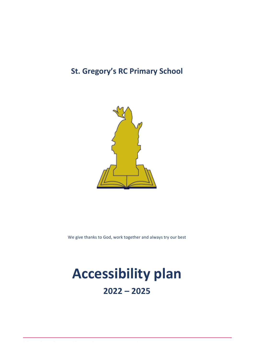## **St. Gregory's RC Primary School**



We give thanks to God, work together and always try our best

## **Accessibility plan 2022 – 2025**